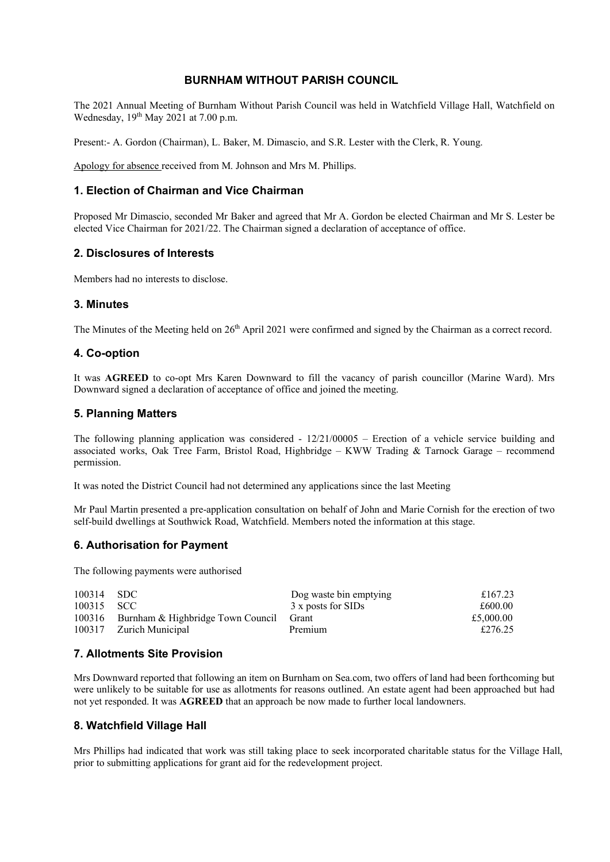#### **BURNHAM WITHOUT PARISH COUNCIL**

The 2021 Annual Meeting of Burnham Without Parish Council was held in Watchfield Village Hall, Watchfield on Wednesday,  $19<sup>th</sup>$  May 2021 at 7.00 p.m.

Present:- A. Gordon (Chairman), L. Baker, M. Dimascio, and S.R. Lester with the Clerk, R. Young.

Apology for absence received from M. Johnson and Mrs M. Phillips.

## **1. Election of Chairman and Vice Chairman**

Proposed Mr Dimascio, seconded Mr Baker and agreed that Mr A. Gordon be elected Chairman and Mr S. Lester be elected Vice Chairman for 2021/22. The Chairman signed a declaration of acceptance of office.

#### **2. Disclosures of Interests**

Members had no interests to disclose.

#### **3. Minutes**

The Minutes of the Meeting held on 26<sup>th</sup> April 2021 were confirmed and signed by the Chairman as a correct record.

#### **4. Co-option**

It was **AGREED** to co-opt Mrs Karen Downward to fill the vacancy of parish councillor (Marine Ward). Mrs Downward signed a declaration of acceptance of office and joined the meeting.

#### **5. Planning Matters**

The following planning application was considered - 12/21/00005 – Erection of a vehicle service building and associated works, Oak Tree Farm, Bristol Road, Highbridge – KWW Trading & Tarnock Garage – recommend permission.

It was noted the District Council had not determined any applications since the last Meeting

Mr Paul Martin presented a pre-application consultation on behalf of John and Marie Cornish for the erection of two self-build dwellings at Southwick Road, Watchfield. Members noted the information at this stage.

## **6. Authorisation for Payment**

The following payments were authorised

| 100314 SDC |                                                | Dog waste bin emptying | £167.23   |
|------------|------------------------------------------------|------------------------|-----------|
| 100315 SCC |                                                | 3 x posts for SIDs     | £600.00   |
|            | 100316 Burnham & Highbridge Town Council Grant |                        | £5,000.00 |
|            | 100317 Zurich Municipal                        | Premium                | £276.25   |

## **7. Allotments Site Provision**

Mrs Downward reported that following an item on Burnham on Sea.com, two offers of land had been forthcoming but were unlikely to be suitable for use as allotments for reasons outlined. An estate agent had been approached but had not yet responded. It was **AGREED** that an approach be now made to further local landowners.

## **8. Watchfield Village Hall**

Mrs Phillips had indicated that work was still taking place to seek incorporated charitable status for the Village Hall, prior to submitting applications for grant aid for the redevelopment project.